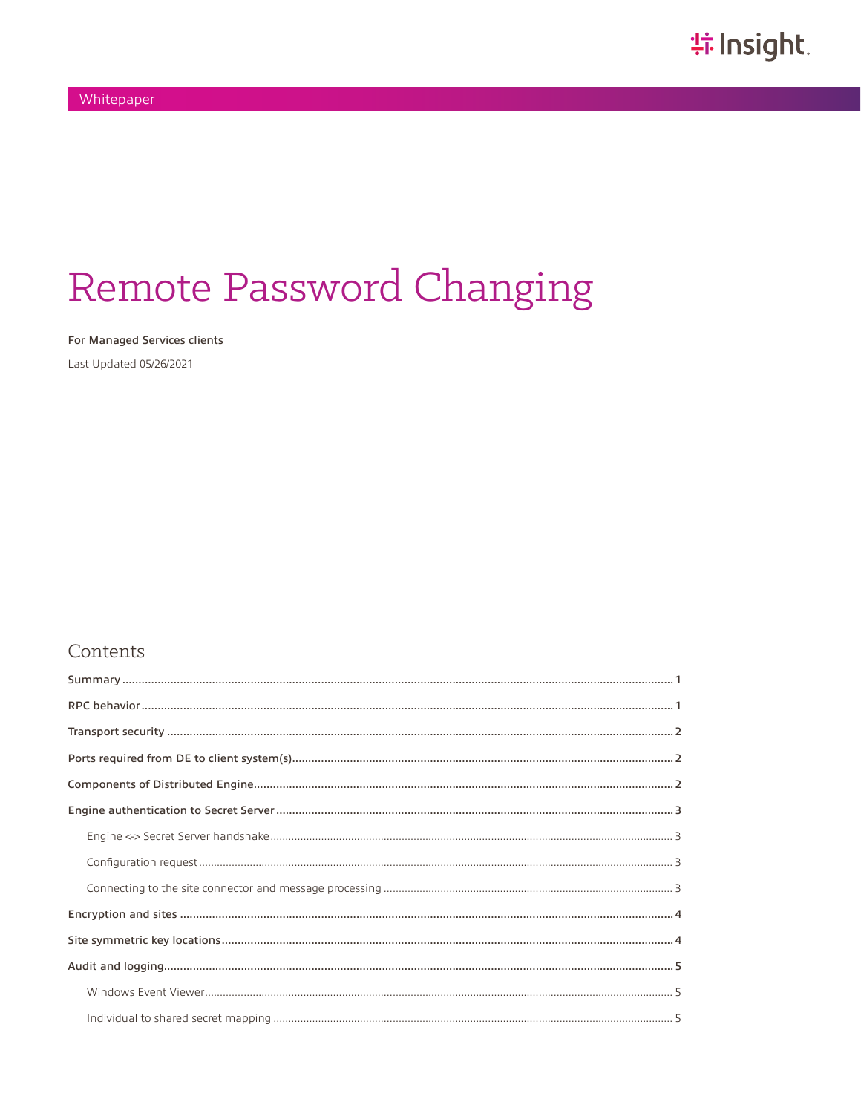# Remote Password Changing

For Managed Services clients

Last Updated 05/26/2021

#### Contents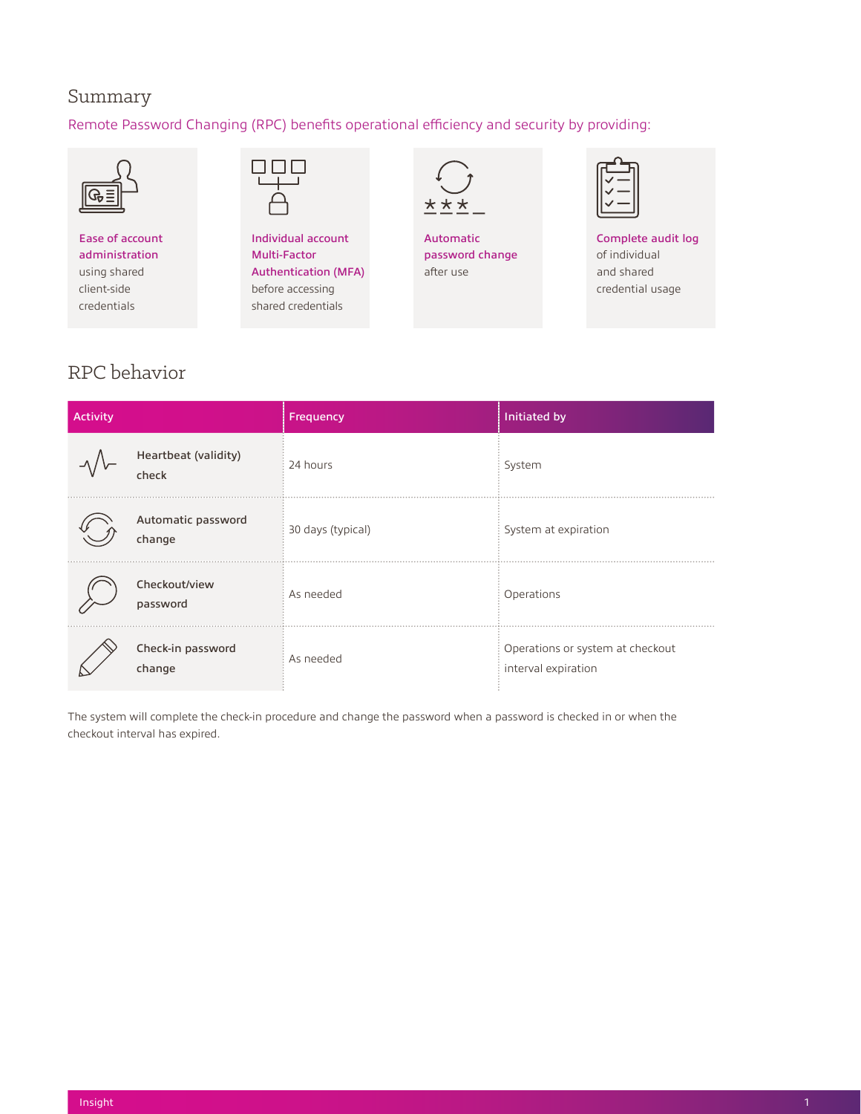### <span id="page-1-0"></span>Summary

#### Remote Password Changing (RPC) benefits operational efficiency and security by providing:



Ease of account administration using shared client-side credentials



Individual account Multi-Factor Authentication (MFA) before accessing shared credentials



Automatic password change after use

Complete audit log of individual and shared credential usage

## RPC behavior

| Activity |                               | Frequency         | Initiated by                                            |
|----------|-------------------------------|-------------------|---------------------------------------------------------|
|          | Heartbeat (validity)<br>check | 24 hours          | System                                                  |
|          | Automatic password<br>change  | 30 days (typical) | System at expiration                                    |
|          | Checkout/view<br>password     | As needed         | Operations                                              |
|          | Check-in password<br>change   | As needed         | Operations or system at checkout<br>interval expiration |

The system will complete the check-in procedure and change the password when a password is checked in or when the checkout interval has expired.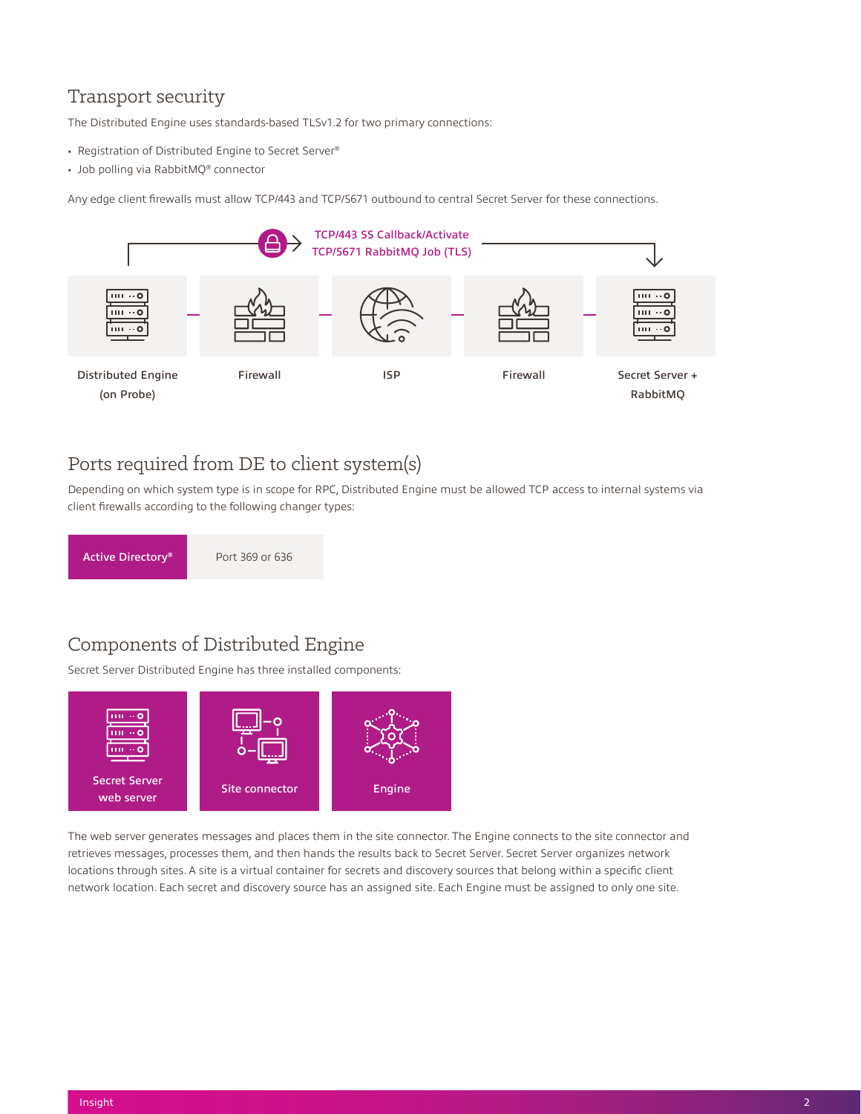## <span id="page-2-0"></span>Transport security

The Distributed Engine uses standards-based TLSv1.2 for two primary connections:

- Registration of Distributed Engine to Secret Server®
- Job polling via RabbitMQ® connector

Any edge client firewalls must allow TCP/443 and TCP/5671 outbound to central Secret Server for these connections.



## Ports required from DE to client system(s)

Depending on which system type is in scope for RPC, Distributed Engine must be allowed TCP access to internal systems via client firewalls according to the following changer types:



## Components of Distributed Engine

Secret Server Distributed Engine has three installed components:



The web server generates messages and places them in the site connector. The Engine connects to the site connector and retrieves messages, processes them, and then hands the results back to Secret Server. Secret Server organizes network locations through sites. A site is a virtual container for secrets and discovery sources that belong within a specific client network location. Each secret and discovery source has an assigned site. Each Engine must be assigned to only one site.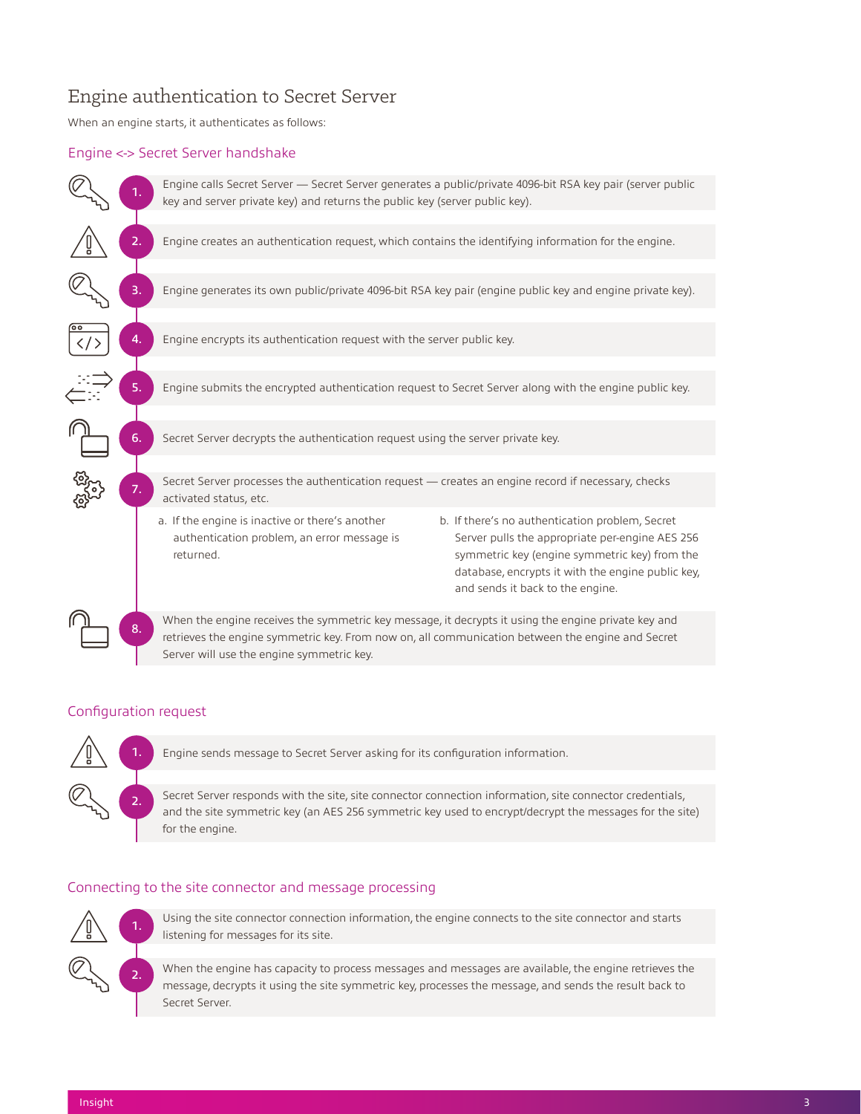## <span id="page-3-0"></span>Engine authentication to Secret Server

When an engine starts, it authenticates as follows:

#### Engine <-> Secret Server handshake



#### Configuration request



Engine sends message to Secret Server asking for its configuration information.

Secret Server responds with the site, site connector connection information, site connector credentials, and the site symmetric key (an AES 256 symmetric key used to encrypt/decrypt the messages for the site) for the engine.

#### Connecting to the site connector and message processing



Using the site connector connection information, the engine connects to the site connector and starts listening for messages for its site.

When the engine has capacity to process messages and messages are available, the engine retrieves the message, decrypts it using the site symmetric key, processes the message, and sends the result back to Secret Server.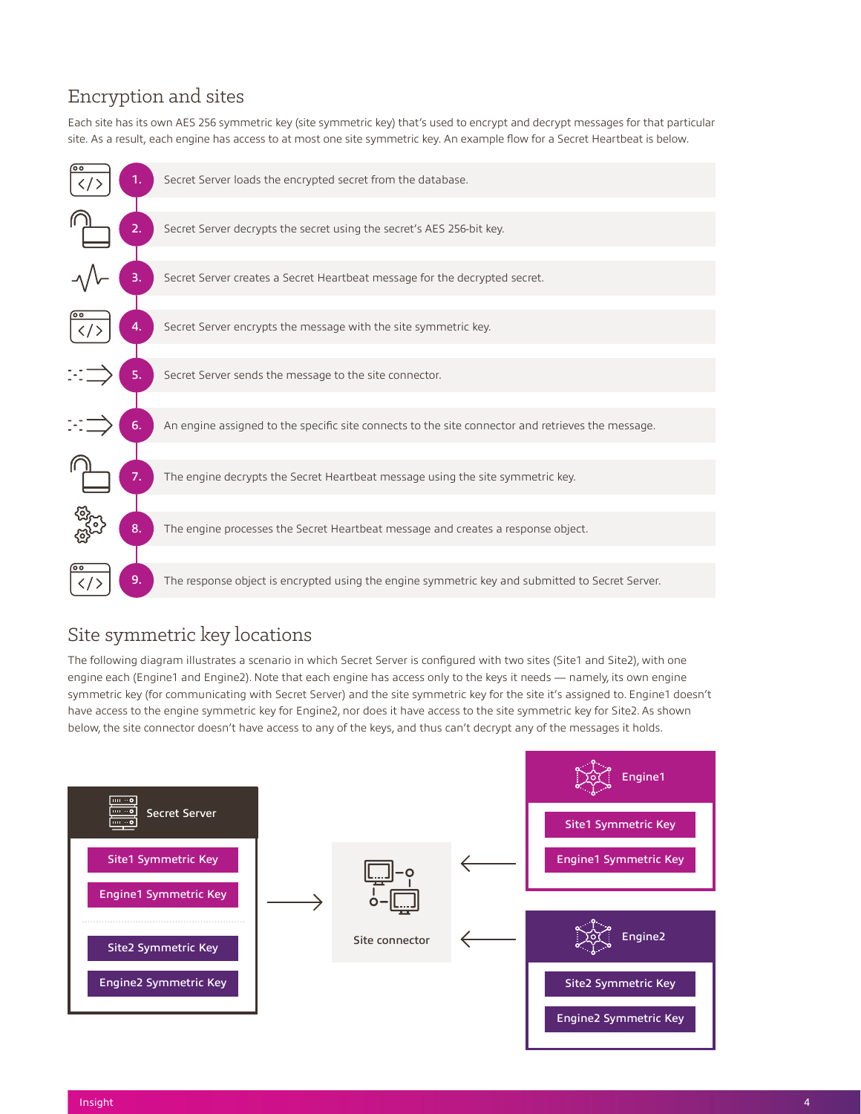## <span id="page-4-0"></span>Encryption and sites

Each site has its own AES 256 symmetric key (site symmetric key) that's used to encrypt and decrypt messages for that particular site. As a result, each engine has access to at most one site symmetric key. An example flow for a Secret Heartbeat is below.



## Site symmetric key locations

The following diagram illustrates a scenario in which Secret Server is configured with two sites (Site1 and Site2), with one engine each (Engine1 and Engine2). Note that each engine has access only to the keys it needs — namely, its own engine symmetric key (for communicating with Secret Server) and the site symmetric key for the site it's assigned to. Engine1 doesn't have access to the engine symmetric key for Engine2, nor does it have access to the site symmetric key for Site2. As shown below, the site connector doesn't have access to any of the keys, and thus can't decrypt any of the messages it holds.